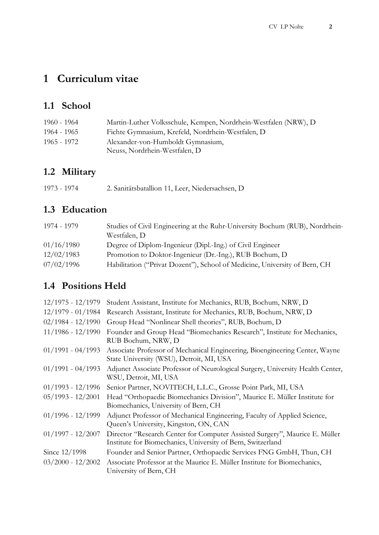# **1 Curriculum vitae**

### **1.1 School**

| 1960 - 1964 | Martin-Luther Volksschule, Kempen, Nordrhein-Westfalen (NRW), D |
|-------------|-----------------------------------------------------------------|
| 1964 - 1965 | Fichte Gymnasium, Krefeld, Nordrhein-Westfalen, D               |
| 1965 - 1972 | Alexander-von-Humboldt Gymnasium,                               |
|             | Neuss, Nordrhein-Westfalen, D                                   |

## **1.2 Military**

| 1973 - 1974 | 2. Sanitätsbatallion 11, Leer, Niedersachsen, D |
|-------------|-------------------------------------------------|
|-------------|-------------------------------------------------|

# **1.3 Education**

| 1974 - 1979 | Studies of Civil Engineering at the Ruhr-University Bochum (RUB), Nordrhein-<br>Westfalen, D |
|-------------|----------------------------------------------------------------------------------------------|
| 01/16/1980  | Degree of Diplom-Ingenieur (Dipl.-Ing.) of Civil Engineer                                    |
| 12/02/1983  | Promotion to Doktor-Ingenieur (Dr.-Ing.), RUB Bochum, D                                      |
| 07/02/1996  | Habilitation ("Privat Dozent"), School of Medicine, University of Bern, CH                   |

### **1.4 Positions Held**

| $12/1975 - 12/1979$ | Student Assistant, Institute for Mechanics, RUB, Bochum, NRW, D                                                                            |
|---------------------|--------------------------------------------------------------------------------------------------------------------------------------------|
| $12/1979 - 01/1984$ | Research Assistant, Institute for Mechanics, RUB, Bochum, NRW, D.                                                                          |
| $02/1984 - 12/1990$ | Group Head "Nonlinear Shell theories", RUB, Bochum, D                                                                                      |
| $11/1986 - 12/1990$ | Founder and Group Head "Biomechanics Research", Institute for Mechanics,<br>RUB Bochum, NRW, D                                             |
| $01/1991 - 04/1993$ | Associate Professor of Mechanical Engineering, Bioengineering Center, Wayne<br>State University (WSU), Detroit, MI, USA                    |
| $01/1991 - 04/1993$ | Adjunct Associate Professor of Neurological Surgery, University Health Center,<br>WSU, Detroit, MI, USA                                    |
| $01/1993 - 12/1996$ | Senior Partner, NOVITECH, L.L.C., Grosse Point Park, MI, USA                                                                               |
| $05/1993 - 12/2001$ | Head "Orthopaedic Biomechanics Division", Maurice E. Müller Institute for<br>Biomechanics, University of Bern, CH                          |
| $01/1996 - 12/1999$ | Adjunct Professor of Mechanical Engineering, Faculty of Applied Science,<br>Queen's University, Kingston, ON, CAN                          |
| $01/1997 - 12/2007$ | Director "Research Center for Computer Assisted Surgery", Maurice E. Müller<br>Institute for Biomechanics, University of Bern, Switzerland |
| Since 12/1998       | Founder and Senior Partner, Orthopaedic Services FNG GmbH, Thun, CH                                                                        |
| $03/2000 - 12/2002$ | Associate Professor at the Maurice E. Müller Institute for Biomechanics,<br>University of Bern, CH                                         |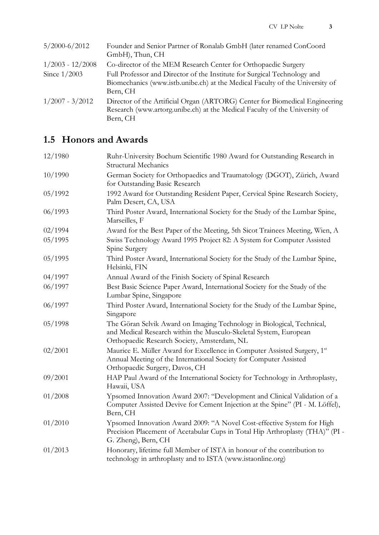| $5/2000 - 6/2012$  | Founder and Senior Partner of Ronalab GmbH (later renamed ConCoord           |
|--------------------|------------------------------------------------------------------------------|
|                    | GmbH), Thun, CH                                                              |
| $1/2003 - 12/2008$ | Co-director of the MEM Research Center for Orthopaedic Surgery               |
| Since $1/2003$     | Full Professor and Director of the Institute for Surgical Technology and     |
|                    | Biomechanics (www.istb.unibe.ch) at the Medical Faculty of the University of |
|                    | Bern, CH                                                                     |
| $1/2007 - 3/2012$  | Director of the Artificial Organ (ARTORG) Center for Biomedical Engineering  |
|                    | Research (www.artorg.unibe.ch) at the Medical Faculty of the University of   |
|                    | Bern, CH                                                                     |

# **1.5 Honors and Awards**

| 12/1980 | Ruhr-University Bochum Scientific 1980 Award for Outstanding Research in                                                                                                                    |
|---------|---------------------------------------------------------------------------------------------------------------------------------------------------------------------------------------------|
|         | <b>Structural Mechanics</b>                                                                                                                                                                 |
| 10/1990 | German Society for Orthopaedics and Traumatology (DGOT), Zürich, Award<br>for Outstanding Basic Research                                                                                    |
| 05/1992 | 1992 Award for Outstanding Resident Paper, Cervical Spine Research Society,<br>Palm Desert, CA, USA                                                                                         |
| 06/1993 | Third Poster Award, International Society for the Study of the Lumbar Spine,<br>Marseilles, F                                                                                               |
| 02/1994 | Award for the Best Paper of the Meeting, 5th Sicot Trainees Meeting, Wien, A                                                                                                                |
| 05/1995 | Swiss Technology Award 1995 Project 82: A System for Computer Assisted<br>Spine Surgery                                                                                                     |
| 05/1995 | Third Poster Award, International Society for the Study of the Lumbar Spine,<br>Helsinki, FIN                                                                                               |
| 04/1997 | Annual Award of the Finish Society of Spinal Research                                                                                                                                       |
| 06/1997 | Best Basic Science Paper Award, International Society for the Study of the<br>Lumbar Spine, Singapore                                                                                       |
| 06/1997 | Third Poster Award, International Society for the Study of the Lumbar Spine,<br>Singapore                                                                                                   |
| 05/1998 | The Göran Selvik Award on Imaging Technology in Biological, Technical,<br>and Medical Research within the Musculo-Skeletal System, European<br>Orthopaedic Research Society, Amsterdam, NL  |
| 02/2001 | Maurice E. Müller Award for Excellence in Computer Assisted Surgery, 1 <sup>st</sup><br>Annual Meeting of the International Society for Computer Assisted<br>Orthopaedic Surgery, Davos, CH |
| 09/2001 | HAP Paul Award of the International Society for Technology in Arthroplasty,<br>Hawaii, USA                                                                                                  |
| 01/2008 | Ypsomed Innovation Award 2007: "Development and Clinical Validation of a<br>Computer Assisted Devive for Cement Injection at the Spine" (PI - M. Löffel),<br>Bern, CH                       |
| 01/2010 | Ypsomed Innovation Award 2009: "A Novel Cost-effective System for High<br>Precision Placement of Acetabular Cups in Total Hip Arthroplasty (THA)" (PI -<br>G. Zheng), Bern, CH              |
| 01/2013 | Honorary, lifetime full Member of ISTA in honour of the contribution to<br>technology in arthroplasty and to ISTA (www.istaonline.org)                                                      |
|         |                                                                                                                                                                                             |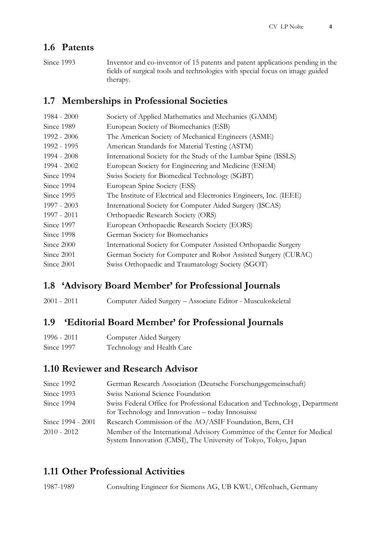#### **1.6 Patents**

Since 1993 Inventor and co-inventor of 15 patents and patent applications pending in the fields of surgical tools and technologies with special focus on image guided therapy.

#### **1.7 Memberships in Professional Societies**

| $1984 - 2000$ | Society of Applied Mathematics and Mechanics (GAMM)                |
|---------------|--------------------------------------------------------------------|
| Since 1989    | European Society of Biomechanics (ESB)                             |
| 1992 - 2006   | The American Society of Mechanical Engineers (ASME)                |
| 1992 - 1995   | American Standards for Material Testing (ASTM)                     |
| $1994 - 2008$ | International Society for the Study of the Lumbar Spine (ISSLS)    |
| 1994 - 2002   | European Society for Engineering and Medicine (ESEM)               |
| Since 1994    | Swiss Society for Biomedical Technology (SGBT)                     |
| Since 1994    | European Spine Society (ESS)                                       |
| Since 1995    | The Institute of Electrical and Electronics Engineers, Inc. (IEEE) |
| 1997 - 2003   | International Society for Computer Aided Surgery (ISCAS)           |
| 1997 - 2011   | Orthopaedic Research Society (ORS)                                 |
| Since 1997    | European Orthopaedic Research Society (EORS)                       |
| Since 1998    | German Society for Biomechanics                                    |
| Since 2000    | International Society for Computer Assisted Orthopaedic Surgery    |
| Since 2001    | German Society for Computer and Robot Assisted Surgery (CURAC)     |
| Since 2001    | Swiss Orthopaedic and Traumatology Society (SGOT)                  |
|               |                                                                    |

#### **1.8 'Advisory Board Member' for Professional Journals**

2001 - 2011 Computer Aided Surgery – Associate Editor - Musculoskeletal

#### **1.9 'Editorial Board Member' for Professional Journals**

| 1996 - 2011 | Computer Aided Surgery     |
|-------------|----------------------------|
| Since 1997  | Technology and Health Care |

#### **1.10 Reviewer and Research Advisor**

| Since 1992        | German Research Association (Deutsche Forschungsgemeinschaft)                                                                               |
|-------------------|---------------------------------------------------------------------------------------------------------------------------------------------|
| Since 1993        | Swiss National Science Foundation                                                                                                           |
| Since 1994        | Swiss Federal Office for Professional Education and Technology, Department<br>for Technology and Innovation - today Innosuisse              |
| Since 1994 - 2001 | Research Commission of the AO/ASIF Foundation, Bern, CH                                                                                     |
| 2010 - 2012       | Member of the International Advisory Committee of the Center for Medical<br>System Innovation (CMSI), The University of Tokyo, Tokyo, Japan |

#### **1.11 Other Professional Activities**

1987-1989 Consulting Engineer for Siemens AG, UB KWU, Offenbach, Germany